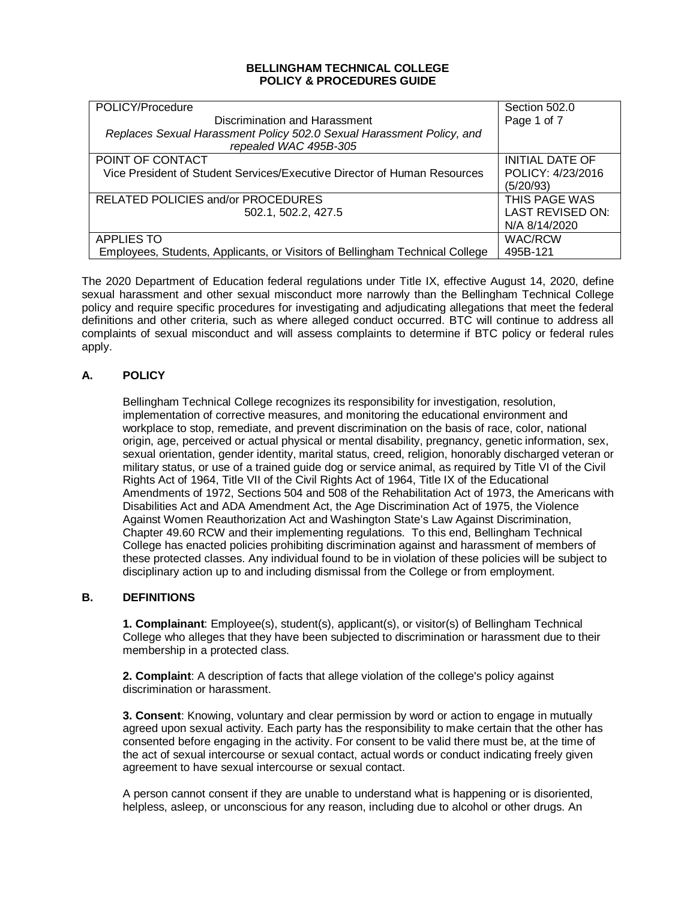## **BELLINGHAM TECHNICAL COLLEGE POLICY & PROCEDURES GUIDE**

| POLICY/Procedure                                                             | Section 502.0           |
|------------------------------------------------------------------------------|-------------------------|
| Discrimination and Harassment                                                | Page 1 of 7             |
| Replaces Sexual Harassment Policy 502.0 Sexual Harassment Policy, and        |                         |
| repealed WAC 495B-305                                                        |                         |
| POINT OF CONTACT                                                             | <b>INITIAL DATE OF</b>  |
| Vice President of Student Services/Executive Director of Human Resources     | POLICY: 4/23/2016       |
|                                                                              | (5/20/93)               |
| RELATED POLICIES and/or PROCEDURES                                           | THIS PAGE WAS           |
| 502.1, 502.2, 427.5                                                          | <b>LAST REVISED ON:</b> |
|                                                                              | N/A 8/14/2020           |
| <b>APPLIES TO</b>                                                            | <b>WAC/RCW</b>          |
| Employees, Students, Applicants, or Visitors of Bellingham Technical College | 495B-121                |

The 2020 Department of Education federal regulations under Title IX, effective August 14, 2020, define sexual harassment and other sexual misconduct more narrowly than the Bellingham Technical College policy and require specific procedures for investigating and adjudicating allegations that meet the federal definitions and other criteria, such as where alleged conduct occurred. BTC will continue to address all complaints of sexual misconduct and will assess complaints to determine if BTC policy or federal rules apply.

# **A. POLICY**

Bellingham Technical College recognizes its responsibility for investigation, resolution, implementation of corrective measures, and monitoring the educational environment and workplace to stop, remediate, and prevent discrimination on the basis of race, color, national origin, age, perceived or actual physical or mental disability, pregnancy, genetic information, sex, sexual orientation, gender identity, marital status, creed, religion, honorably discharged veteran or military status, or use of a trained guide dog or service animal, as required by Title VI of the Civil Rights Act of 1964, Title VII of the Civil Rights Act of 1964, Title IX of the Educational Amendments of 1972, Sections 504 and 508 of the Rehabilitation Act of 1973, the Americans with Disabilities Act and ADA Amendment Act, the Age Discrimination Act of 1975, the Violence Against Women Reauthorization Act and Washington State's Law Against Discrimination, Chapter 49.60 RCW and their implementing regulations. To this end, Bellingham Technical College has enacted policies prohibiting discrimination against and harassment of members of these protected classes. Any individual found to be in violation of these policies will be subject to disciplinary action up to and including dismissal from the College or from employment.

## **B. DEFINITIONS**

**1. Complainant**: Employee(s), student(s), applicant(s), or visitor(s) of Bellingham Technical College who alleges that they have been subjected to discrimination or harassment due to their membership in a protected class.

**2. Complaint**: A description of facts that allege violation of the college's policy against discrimination or harassment.

**3. Consent**: Knowing, voluntary and clear permission by word or action to engage in mutually agreed upon sexual activity. Each party has the responsibility to make certain that the other has consented before engaging in the activity. For consent to be valid there must be, at the time of the act of sexual intercourse or sexual contact, actual words or conduct indicating freely given agreement to have sexual intercourse or sexual contact.

A person cannot consent if they are unable to understand what is happening or is disoriented, helpless, asleep, or unconscious for any reason, including due to alcohol or other drugs. An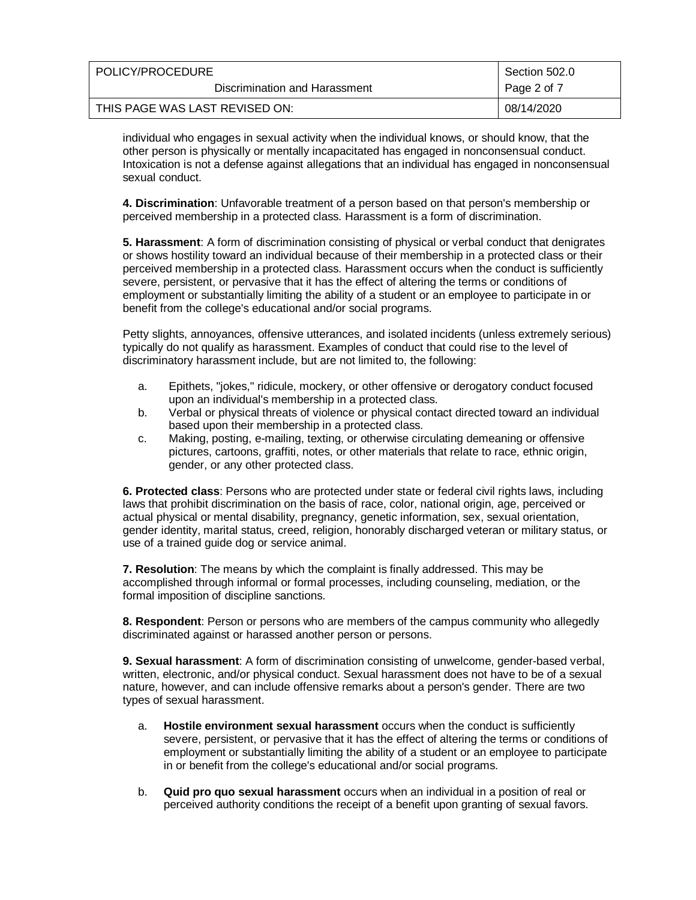| POLICY/PROCEDURE               | Section 502.0 |
|--------------------------------|---------------|
| Discrimination and Harassment  | Page 2 of 7   |
| THIS PAGE WAS LAST REVISED ON: | 08/14/2020    |

individual who engages in sexual activity when the individual knows, or should know, that the other person is physically or mentally incapacitated has engaged in nonconsensual conduct. Intoxication is not a defense against allegations that an individual has engaged in nonconsensual sexual conduct.

**4. Discrimination**: Unfavorable treatment of a person based on that person's membership or perceived membership in a protected class. Harassment is a form of discrimination.

**5. Harassment**: A form of discrimination consisting of physical or verbal conduct that denigrates or shows hostility toward an individual because of their membership in a protected class or their perceived membership in a protected class. Harassment occurs when the conduct is sufficiently severe, persistent, or pervasive that it has the effect of altering the terms or conditions of employment or substantially limiting the ability of a student or an employee to participate in or benefit from the college's educational and/or social programs.

Petty slights, annoyances, offensive utterances, and isolated incidents (unless extremely serious) typically do not qualify as harassment. Examples of conduct that could rise to the level of discriminatory harassment include, but are not limited to, the following:

- a. Epithets, "jokes," ridicule, mockery, or other offensive or derogatory conduct focused upon an individual's membership in a protected class.
- b. Verbal or physical threats of violence or physical contact directed toward an individual based upon their membership in a protected class.
- c. Making, posting, e-mailing, texting, or otherwise circulating demeaning or offensive pictures, cartoons, graffiti, notes, or other materials that relate to race, ethnic origin, gender, or any other protected class.

**6. Protected class**: Persons who are protected under state or federal civil rights laws, including laws that prohibit discrimination on the basis of race, color, national origin, age, perceived or actual physical or mental disability, pregnancy, genetic information, sex, sexual orientation, gender identity, marital status, creed, religion, honorably discharged veteran or military status, or use of a trained guide dog or service animal.

**7. Resolution**: The means by which the complaint is finally addressed. This may be accomplished through informal or formal processes, including counseling, mediation, or the formal imposition of discipline sanctions.

**8. Respondent**: Person or persons who are members of the campus community who allegedly discriminated against or harassed another person or persons.

**9. Sexual harassment**: A form of discrimination consisting of unwelcome, gender-based verbal, written, electronic, and/or physical conduct. Sexual harassment does not have to be of a sexual nature, however, and can include offensive remarks about a person's gender. There are two types of sexual harassment.

- a. **Hostile environment sexual harassment** occurs when the conduct is sufficiently severe, persistent, or pervasive that it has the effect of altering the terms or conditions of employment or substantially limiting the ability of a student or an employee to participate in or benefit from the college's educational and/or social programs.
- b. **Quid pro quo sexual harassment** occurs when an individual in a position of real or perceived authority conditions the receipt of a benefit upon granting of sexual favors.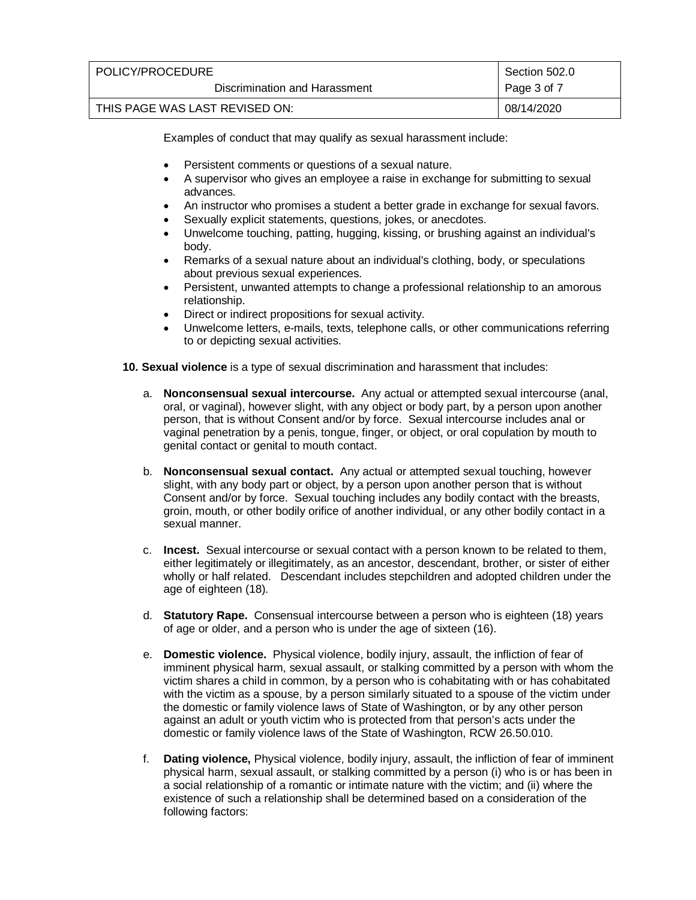| POLICY/PROCEDURE               | Section 502.0 |
|--------------------------------|---------------|
| Discrimination and Harassment  | Page 3 of 7   |
| THIS PAGE WAS LAST REVISED ON: | 08/14/2020    |

Examples of conduct that may qualify as sexual harassment include:

- Persistent comments or questions of a sexual nature.
- A supervisor who gives an employee a raise in exchange for submitting to sexual advances.
- An instructor who promises a student a better grade in exchange for sexual favors.
- Sexually explicit statements, questions, jokes, or anecdotes.
- Unwelcome touching, patting, hugging, kissing, or brushing against an individual's body.
- Remarks of a sexual nature about an individual's clothing, body, or speculations about previous sexual experiences.
- Persistent, unwanted attempts to change a professional relationship to an amorous relationship.
- Direct or indirect propositions for sexual activity.
- Unwelcome letters, e-mails, texts, telephone calls, or other communications referring to or depicting sexual activities.
- **10. Sexual violence** is a type of sexual discrimination and harassment that includes:
	- a. **Nonconsensual sexual intercourse.** Any actual or attempted sexual intercourse (anal, oral, or vaginal), however slight, with any object or body part, by a person upon another person, that is without Consent and/or by force. Sexual intercourse includes anal or vaginal penetration by a penis, tongue, finger, or object, or oral copulation by mouth to genital contact or genital to mouth contact.
	- b. **Nonconsensual sexual contact.** Any actual or attempted sexual touching, however slight, with any body part or object, by a person upon another person that is without Consent and/or by force. Sexual touching includes any bodily contact with the breasts, groin, mouth, or other bodily orifice of another individual, or any other bodily contact in a sexual manner.
	- c. **Incest.** Sexual intercourse or sexual contact with a person known to be related to them, either legitimately or illegitimately, as an ancestor, descendant, brother, or sister of either wholly or half related. Descendant includes stepchildren and adopted children under the age of eighteen (18).
	- d. **Statutory Rape.** Consensual intercourse between a person who is eighteen (18) years of age or older, and a person who is under the age of sixteen (16).
	- e. **Domestic violence.** Physical violence, bodily injury, assault, the infliction of fear of imminent physical harm, sexual assault, or stalking committed by a person with whom the victim shares a child in common, by a person who is cohabitating with or has cohabitated with the victim as a spouse, by a person similarly situated to a spouse of the victim under the domestic or family violence laws of State of Washington, or by any other person against an adult or youth victim who is protected from that person's acts under the domestic or family violence laws of the State of Washington, RCW 26.50.010.
	- f. **Dating violence,** Physical violence, bodily injury, assault, the infliction of fear of imminent physical harm, sexual assault, or stalking committed by a person (i) who is or has been in a social relationship of a romantic or intimate nature with the victim; and (ii) where the existence of such a relationship shall be determined based on a consideration of the following factors: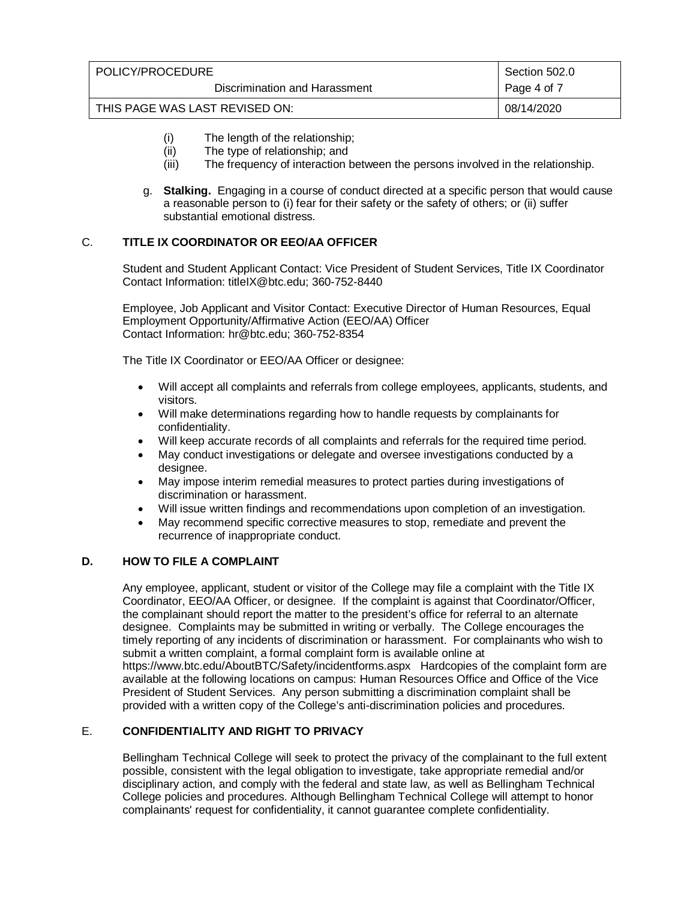| POLICY/PROCEDURE               | Section 502.0 |
|--------------------------------|---------------|
| Discrimination and Harassment  | Page 4 of 7   |
| THIS PAGE WAS LAST REVISED ON: | 08/14/2020    |

- (i) The length of the relationship;
- (ii) The type of relationship; and<br>(iii) The frequency of interaction b
- The frequency of interaction between the persons involved in the relationship.
- g. **Stalking.** Engaging in a course of conduct directed at a specific person that would cause a reasonable person to (i) fear for their safety or the safety of others; or (ii) suffer substantial emotional distress.

## C. **TITLE IX COORDINATOR OR EEO/AA OFFICER**

Student and Student Applicant Contact: Vice President of Student Services, Title IX Coordinator Contact Information: titleIX@btc.edu; 360-752-8440

Employee, Job Applicant and Visitor Contact: Executive Director of Human Resources, Equal Employment Opportunity/Affirmative Action (EEO/AA) Officer Contact Information: hr@btc.edu; 360-752-8354

The Title IX Coordinator or EEO/AA Officer or designee:

- Will accept all complaints and referrals from college employees, applicants, students, and visitors.
- Will make determinations regarding how to handle requests by complainants for confidentiality.
- Will keep accurate records of all complaints and referrals for the required time period.
- May conduct investigations or delegate and oversee investigations conducted by a designee.
- May impose interim remedial measures to protect parties during investigations of discrimination or harassment.
- Will issue written findings and recommendations upon completion of an investigation.
- May recommend specific corrective measures to stop, remediate and prevent the recurrence of inappropriate conduct.

# **D. HOW TO FILE A COMPLAINT**

Any employee, applicant, student or visitor of the College may file a complaint with the Title IX Coordinator, EEO/AA Officer, or designee. If the complaint is against that Coordinator/Officer, the complainant should report the matter to the president's office for referral to an alternate designee.Complaints may be submitted in writing or verbally. The College encourages the timely reporting of any incidents of discrimination or harassment. For complainants who wish to submit a written complaint, a formal complaint form is available online at https://www.btc.edu/AboutBTC/Safety/incidentforms.aspx Hardcopies of the complaint form are available at the following locations on campus: Human Resources Office and Office of the Vice President of Student Services. Any person submitting a discrimination complaint shall be provided with a written copy of the College's anti-discrimination policies and procedures.

# E. **CONFIDENTIALITY AND RIGHT TO PRIVACY**

Bellingham Technical College will seek to protect the privacy of the complainant to the full extent possible, consistent with the legal obligation to investigate, take appropriate remedial and/or disciplinary action, and comply with the federal and state law, as well as Bellingham Technical College policies and procedures. Although Bellingham Technical College will attempt to honor complainants' request for confidentiality, it cannot guarantee complete confidentiality.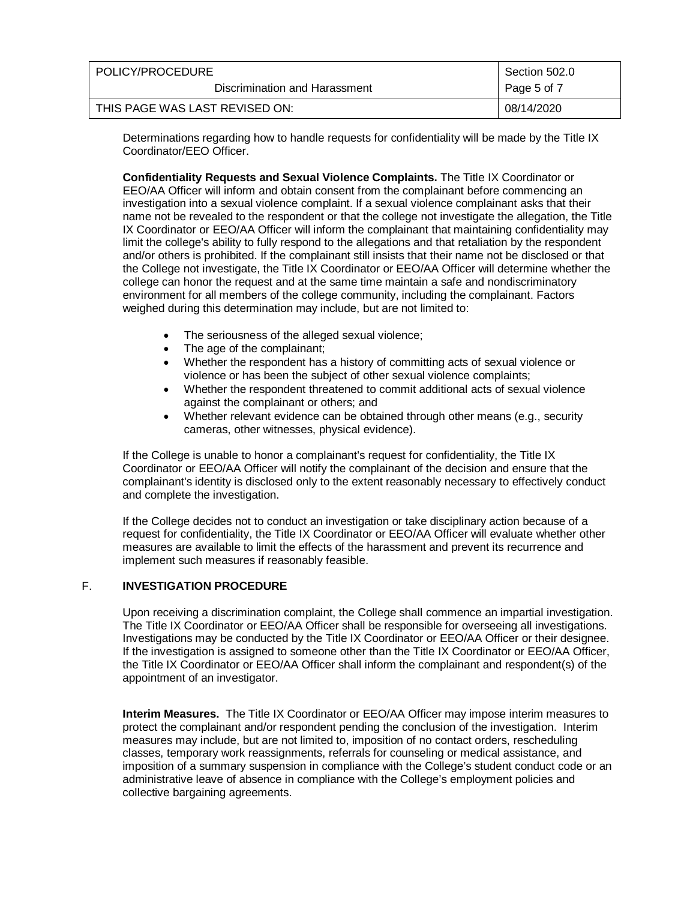| POLICY/PROCEDURE               | Section 502.0 |
|--------------------------------|---------------|
| Discrimination and Harassment  | Page 5 of 7   |
| THIS PAGE WAS LAST REVISED ON: | 08/14/2020    |

Determinations regarding how to handle requests for confidentiality will be made by the Title IX Coordinator/EEO Officer.

**Confidentiality Requests and Sexual Violence Complaints.** The Title IX Coordinator or EEO/AA Officer will inform and obtain consent from the complainant before commencing an investigation into a sexual violence complaint. If a sexual violence complainant asks that their name not be revealed to the respondent or that the college not investigate the allegation, the Title IX Coordinator or EEO/AA Officer will inform the complainant that maintaining confidentiality may limit the college's ability to fully respond to the allegations and that retaliation by the respondent and/or others is prohibited. If the complainant still insists that their name not be disclosed or that the College not investigate, the Title IX Coordinator or EEO/AA Officer will determine whether the college can honor the request and at the same time maintain a safe and nondiscriminatory environment for all members of the college community, including the complainant. Factors weighed during this determination may include, but are not limited to:

- The seriousness of the alleged sexual violence;
- The age of the complainant;
- Whether the respondent has a history of committing acts of sexual violence or violence or has been the subject of other sexual violence complaints;
- Whether the respondent threatened to commit additional acts of sexual violence against the complainant or others; and
- Whether relevant evidence can be obtained through other means (e.g., security cameras, other witnesses, physical evidence).

If the College is unable to honor a complainant's request for confidentiality, the Title IX Coordinator or EEO/AA Officer will notify the complainant of the decision and ensure that the complainant's identity is disclosed only to the extent reasonably necessary to effectively conduct and complete the investigation.

If the College decides not to conduct an investigation or take disciplinary action because of a request for confidentiality, the Title IX Coordinator or EEO/AA Officer will evaluate whether other measures are available to limit the effects of the harassment and prevent its recurrence and implement such measures if reasonably feasible.

## F. **INVESTIGATION PROCEDURE**

Upon receiving a discrimination complaint, the College shall commence an impartial investigation. The Title IX Coordinator or EEO/AA Officer shall be responsible for overseeing all investigations. Investigations may be conducted by the Title IX Coordinator or EEO/AA Officer or their designee. If the investigation is assigned to someone other than the Title IX Coordinator or EEO/AA Officer, the Title IX Coordinator or EEO/AA Officer shall inform the complainant and respondent(s) of the appointment of an investigator.

**Interim Measures.** The Title IX Coordinator or EEO/AA Officer may impose interim measures to protect the complainant and/or respondent pending the conclusion of the investigation. Interim measures may include, but are not limited to, imposition of no contact orders, rescheduling classes, temporary work reassignments, referrals for counseling or medical assistance, and imposition of a summary suspension in compliance with the College's student conduct code or an administrative leave of absence in compliance with the College's employment policies and collective bargaining agreements.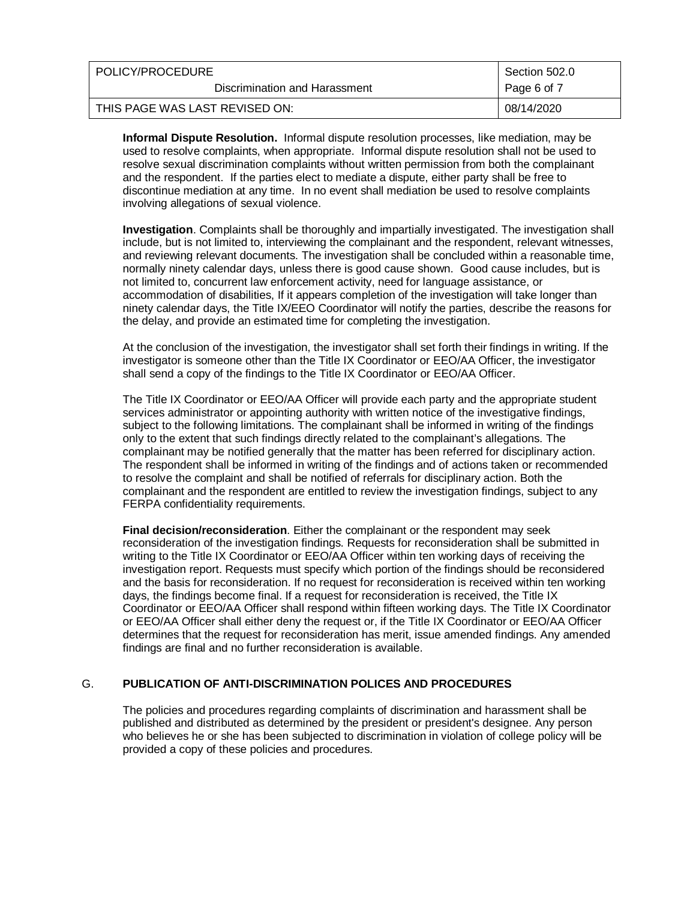| POLICY/PROCEDURE               | Section 502.0 |
|--------------------------------|---------------|
| Discrimination and Harassment  | Page 6 of 7   |
| THIS PAGE WAS LAST REVISED ON: | 08/14/2020    |

**Informal Dispute Resolution.** Informal dispute resolution processes, like mediation, may be used to resolve complaints, when appropriate. Informal dispute resolution shall not be used to resolve sexual discrimination complaints without written permission from both the complainant and the respondent. If the parties elect to mediate a dispute, either party shall be free to discontinue mediation at any time. In no event shall mediation be used to resolve complaints involving allegations of sexual violence.

**Investigation**. Complaints shall be thoroughly and impartially investigated. The investigation shall include, but is not limited to, interviewing the complainant and the respondent, relevant witnesses, and reviewing relevant documents. The investigation shall be concluded within a reasonable time, normally ninety calendar days, unless there is good cause shown. Good cause includes, but is not limited to, concurrent law enforcement activity, need for language assistance, or accommodation of disabilities, If it appears completion of the investigation will take longer than ninety calendar days, the Title IX/EEO Coordinator will notify the parties, describe the reasons for the delay, and provide an estimated time for completing the investigation.

At the conclusion of the investigation, the investigator shall set forth their findings in writing. If the investigator is someone other than the Title IX Coordinator or EEO/AA Officer, the investigator shall send a copy of the findings to the Title IX Coordinator or EEO/AA Officer.

The Title IX Coordinator or EEO/AA Officer will provide each party and the appropriate student services administrator or appointing authority with written notice of the investigative findings, subject to the following limitations. The complainant shall be informed in writing of the findings only to the extent that such findings directly related to the complainant's allegations. The complainant may be notified generally that the matter has been referred for disciplinary action. The respondent shall be informed in writing of the findings and of actions taken or recommended to resolve the complaint and shall be notified of referrals for disciplinary action. Both the complainant and the respondent are entitled to review the investigation findings, subject to any FERPA confidentiality requirements.

**Final decision/reconsideration**. Either the complainant or the respondent may seek reconsideration of the investigation findings. Requests for reconsideration shall be submitted in writing to the Title IX Coordinator or EEO/AA Officer within ten working days of receiving the investigation report. Requests must specify which portion of the findings should be reconsidered and the basis for reconsideration. If no request for reconsideration is received within ten working days, the findings become final. If a request for reconsideration is received, the Title IX Coordinator or EEO/AA Officer shall respond within fifteen working days. The Title IX Coordinator or EEO/AA Officer shall either deny the request or, if the Title IX Coordinator or EEO/AA Officer determines that the request for reconsideration has merit, issue amended findings. Any amended findings are final and no further reconsideration is available.

### G. **PUBLICATION OF ANTI-DISCRIMINATION POLICES AND PROCEDURES**

The policies and procedures regarding complaints of discrimination and harassment shall be published and distributed as determined by the president or president's designee. Any person who believes he or she has been subjected to discrimination in violation of college policy will be provided a copy of these policies and procedures.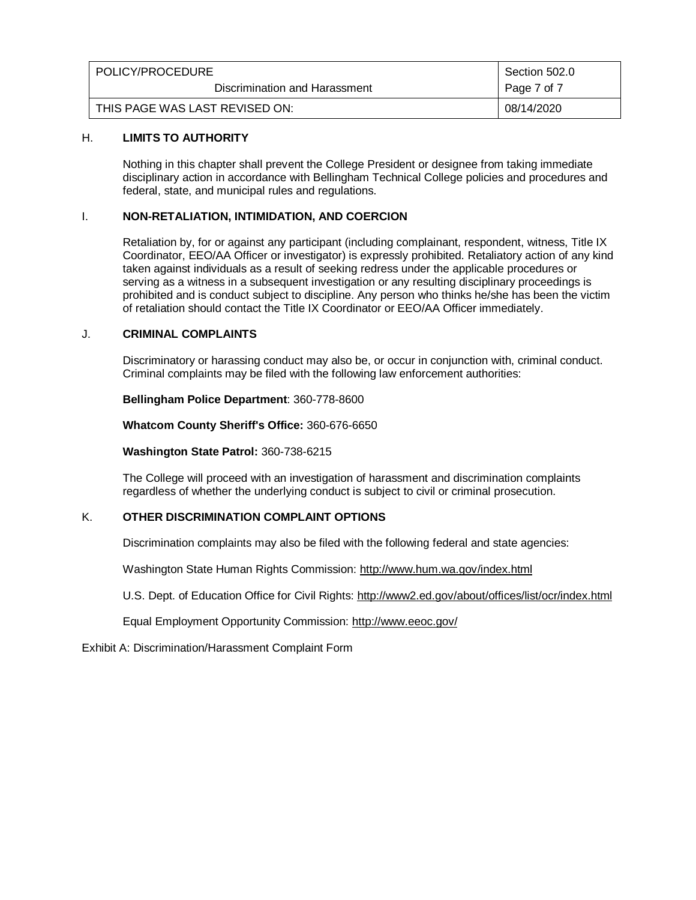| POLICY/PROCEDURE               | Section 502.0 |
|--------------------------------|---------------|
| Discrimination and Harassment  | Page 7 of 7   |
| THIS PAGE WAS LAST REVISED ON: | 08/14/2020    |

## H. **LIMITS TO AUTHORITY**

Nothing in this chapter shall prevent the College President or designee from taking immediate disciplinary action in accordance with Bellingham Technical College policies and procedures and federal, state, and municipal rules and regulations.

## I. **NON-RETALIATION, INTIMIDATION, AND COERCION**

Retaliation by, for or against any participant (including complainant, respondent, witness, Title IX Coordinator, EEO/AA Officer or investigator) is expressly prohibited. Retaliatory action of any kind taken against individuals as a result of seeking redress under the applicable procedures or serving as a witness in a subsequent investigation or any resulting disciplinary proceedings is prohibited and is conduct subject to discipline. Any person who thinks he/she has been the victim of retaliation should contact the Title IX Coordinator or EEO/AA Officer immediately.

### J. **CRIMINAL COMPLAINTS**

Discriminatory or harassing conduct may also be, or occur in conjunction with, criminal conduct. Criminal complaints may be filed with the following law enforcement authorities:

#### **Bellingham Police Department**: 360-778-8600

**Whatcom County Sheriff's Office:** 360-676-6650

#### **Washington State Patrol:** 360-738-6215

The College will proceed with an investigation of harassment and discrimination complaints regardless of whether the underlying conduct is subject to civil or criminal prosecution.

### K. **OTHER DISCRIMINATION COMPLAINT OPTIONS**

Discrimination complaints may also be filed with the following federal and state agencies:

Washington State Human Rights Commission:<http://www.hum.wa.gov/index.html>

U.S. Dept. of Education Office for Civil Rights:<http://www2.ed.gov/about/offices/list/ocr/index.html>

Equal Employment Opportunity Commission:<http://www.eeoc.gov/>

Exhibit A: Discrimination/Harassment Complaint Form